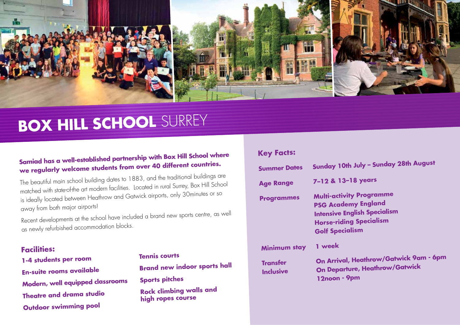

## **BOX HILL SCHOOL** SURREY

### **Samiad has a well-established partnership with Box Hill School where we regularly welcome students from over 40 different countries.**

The beautiful main school building dates to 1883, and the traditional buildings are matched with state-of-the art modern facilities. Located in rural Surrey, Box Hill School is ideally located between Heathrow and Gatwick airports, only 30minutes or so away from both major airports!

Recent developments at the school have included a brand new sports centre, as well as newly refurbished accommodation blocks.

#### **Facilities:**

**1-4 students per room En-suite rooms available Modern, well equipped classrooms Theatre and drama studio Outdoor swimming poo<sup>l</sup>**

#### **Tennis courts**

**high ropes course**

**Brand new indoor sports hall Sports pitches Rock climbing walls and** 

#### **Key Facts:**

| <b>Summer Dates</b>                 | Sunday 10th July - Sunday 28th August                                                                                                                            |
|-------------------------------------|------------------------------------------------------------------------------------------------------------------------------------------------------------------|
| <b>Age Range</b>                    | 7-12 & 13-18 years                                                                                                                                               |
| <b>Programmes</b>                   | <b>Multi-activity Programme</b><br><b>PSG Academy England</b><br><b>Intensive English Specialism</b><br><b>Horse-riding Specialism</b><br><b>Golf Specialism</b> |
| Minimum stay                        | 1 week                                                                                                                                                           |
| <b>Transfer</b><br><b>Inclusive</b> | On Arrival, Heathrow/Gatwick 9am - 6pm<br><b>On Departure, Heathrow/Gatwick</b><br>12noon - 9pm                                                                  |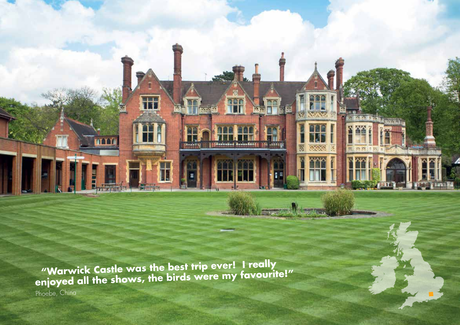**"Warwick Castle was the best trip ever! I really enjoyed all the shows, the birds were my favourite!"**

ago

**LESSEYA RESERVE** 

Phoebe, China

a,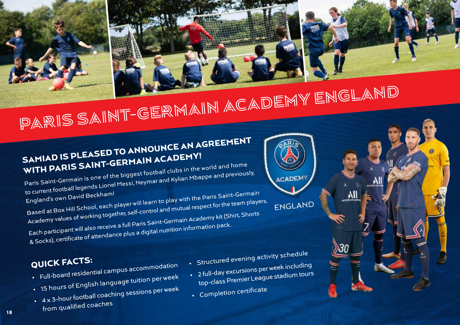# PARIS SAINT-GERMAIN ACADEMY ENGLAND

# **SAMIAD IS PLEASED TO ANNOUNCE AN AGREEMENT WITH PARIS SAINT-GERMAIN ACADEMY!**

Paris Saint-Germain is one of the biggest football clubs in the world and home to current football legends Lionel Messi, Neymar and Kylian Mbappe and previously, ro current root<br>England's own David Beckham!<br>Based at Box Hill School, each player will learn to play with the Paris Saint-Germain Academy values of working together, self-control and mutual respect for the team players. Each participant will also receive a full Paris Saint-Germain Academy kit (Shirt, Shorts & Socks), certificate of attendance plus a digital nutrition information pack.

## **QUICK FACTS:**

- Full-board residential campus accommodation
- 15 hours of English language tuition per wee<sup>k</sup>
- $\frac{15 \text{ hours of Eeyl}}{4 \times 3 \cdot \text{hour football coaching sessions per week}}$
- from qualified coaches

 $\bullet$  Structured evening activity schedule

- 2 full-day excursions per week including
- top-class Premier League stadium tours
- Completion certificate



ENGLAND

All